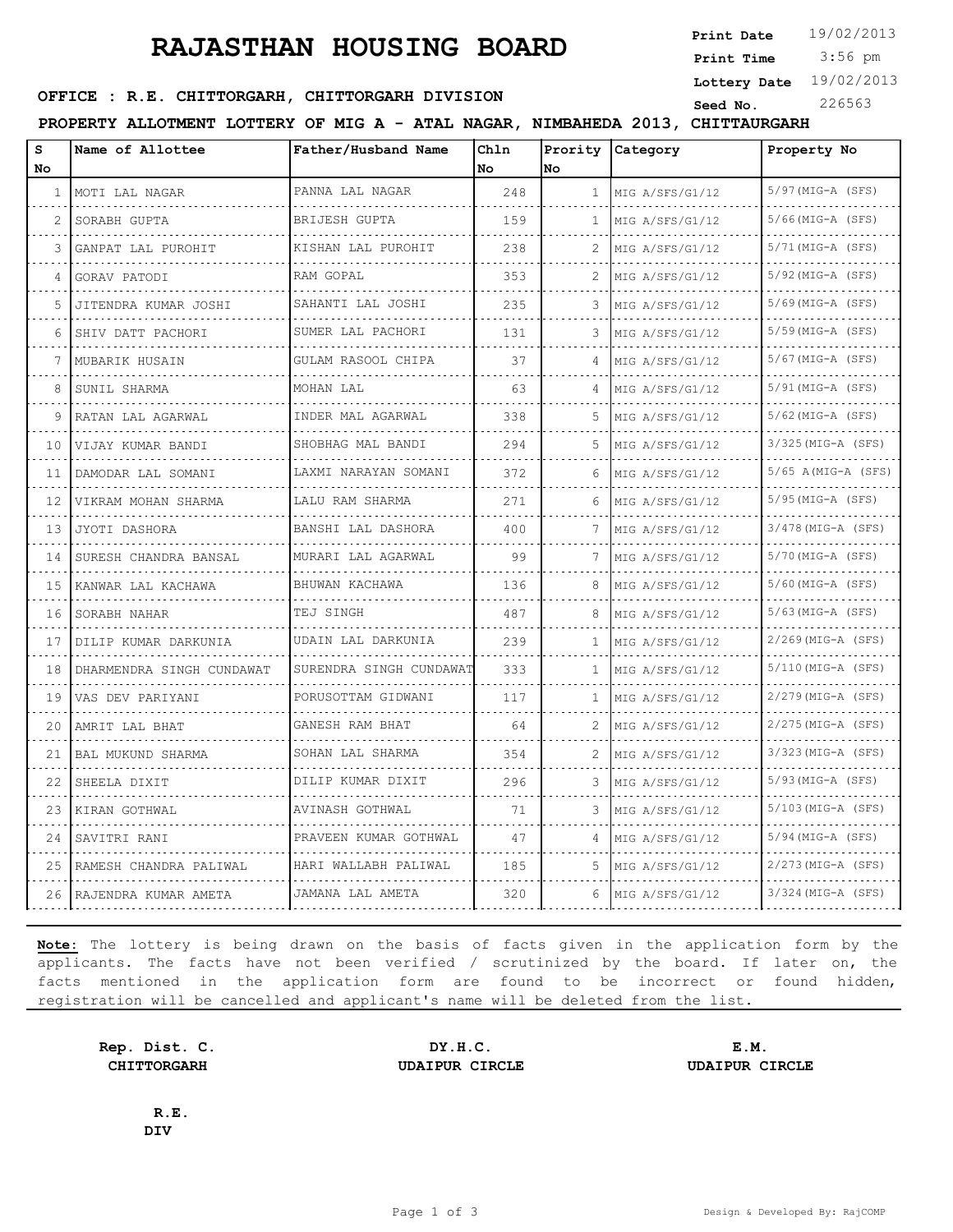# **RAJASTHAN HOUSING BOARD**

**Print Date**  $19/02/2013$ 

 3:56 pm **Print Time**

**Lottery Date** 19/02/2013

#### **SEED OFFICE : R.E. CHITTORGARH, CHITTORGARH DIVISION** Seed No. 226563

**PROPERTY ALLOTMENT LOTTERY OF MIG A - ATAL NAGAR, NIMBAHEDA 2013, CHITTAURGARH**

| s<br>No. | Name of Allottee          | Father/Husband Name     | Chln<br>No | Prority<br>lNo. | Category             | Property No              |
|----------|---------------------------|-------------------------|------------|-----------------|----------------------|--------------------------|
| 1        | MOTI LAL NAGAR            | PANNA LAL NAGAR         | 248        | 1               | MIG A/SFS/G1/12      | $5/97$ (MIG-A (SFS)      |
| 2        | SORABH GUPTA              | BRIJESH GUPTA           | 159        | 1               | MIG A/SFS/G1/12      | .<br>$5/66$ (MIG-A (SFS) |
|          |                           | KISHAN LAL PUROHIT      |            |                 |                      | $5/71$ (MIG-A (SFS)      |
| 3        | GANPAT LAL PUROHIT        |                         | 238        | 2               | MIG A/SFS/G1/12      |                          |
| 4        | GORAV PATODI              | RAM GOPAL               | 353        | 2               | MIG A/SFS/G1/12      | $5/92$ (MIG-A (SFS)      |
| 5        | JITENDRA KUMAR JOSHI      | SAHANTI LAL JOSHI       | 235        | 3               | MIG A/SFS/G1/12<br>. | $5/69$ (MIG-A (SFS)      |
| 6        | SHIV DATT PACHORI         | SUMER LAL PACHORI       | 131        | 3               | MIG A/SFS/G1/12      | $5/59$ (MIG-A (SFS)      |
|          | MUBARIK HUSAIN            | GULAM RASOOL CHIPA      | 37         | 4               | MIG A/SFS/G1/12      | 5/67 (MIG-A (SFS)        |
| 8        | SUNIL SHARMA              | MOHAN LAL               | 63         | 4               | MIG A/SFS/G1/12      | $5/91$ (MIG-A (SFS)      |
| 9        | RATAN LAL AGARWAL         | INDER MAL AGARWAL       | 338        | 5               | MIG A/SFS/G1/12      | $5/62$ (MIG-A (SFS)      |
| 10       | VIJAY KUMAR BANDI         | SHOBHAG MAL BANDI       | 294        | 5               | MIG A/SFS/G1/12      | 3/325 (MIG-A (SFS)       |
| 11       | DAMODAR LAL SOMANI        | LAXMI NARAYAN SOMANI    | 372        | 6               | MIG A/SFS/G1/12      | $5/65$ A(MIG-A (SFS)     |
| 12       | VIKRAM MOHAN SHARMA       | LALU RAM SHARMA         | 271        | 6               | MIG A/SFS/G1/12      | $5/95$ (MIG-A (SFS)      |
| 13       | JYOTI DASHORA             | BANSHI LAL DASHORA      | 400        | 7               | MIG A/SFS/G1/12      | $3/478$ (MIG-A (SFS)     |
| 14       | SURESH CHANDRA BANSAL     | MURARI LAL AGARWAL      | 99         | 7               | MIG A/SFS/G1/12      | $5/70$ (MIG-A (SFS)      |
| 15       | KANWAR LAL KACHAWA        | BHUWAN KACHAWA          | 136        | 8               | MIG A/SFS/G1/12      | $5/60$ (MIG-A (SFS)      |
| 16       | SORABH NAHAR              | TEJ SINGH               | 487        | 8               | MIG A/SFS/G1/12      | $5/63$ (MIG-A (SFS)      |
| 17       | DILIP KUMAR DARKUNIA      | UDAIN LAL DARKUNIA      | 239        | $\mathbf{1}$    | MIG A/SFS/G1/12      | $2/269$ (MIG-A (SFS)     |
| 18       | DHARMENDRA SINGH CUNDAWAT | SURENDRA SINGH CUNDAWAT | 333        | $\mathbf{1}$    | MIG A/SFS/G1/12      | 5/110(MIG-A (SFS)        |
| 19       | VAS DEV PARIYANI          | PORUSOTTAM GIDWANI<br>. | 117        | 1               | MIG A/SFS/G1/12      | $2/279$ (MIG-A (SFS)     |
| 20       | AMRIT LAL BHAT            | GANESH RAM BHAT         | 64         | 2               | MIG A/SFS/G1/12      | $2/275$ (MIG-A (SFS)     |
| 21       | BAL MUKUND SHARMA         | SOHAN LAL SHARMA        | 354        | 2               | MIG A/SFS/G1/12      | $3/323$ (MIG-A (SFS)     |
| 22       | SHEELA DIXIT              | DILIP KUMAR DIXIT       | 296        | 3               | MIG A/SFS/G1/12      | $5/93$ (MIG-A (SFS)      |
| 23       | KIRAN GOTHWAL             | AVINASH GOTHWAL         | 71         | 3               | MIG A/SFS/G1/12      | $5/103$ (MIG-A (SFS)     |
| 24       | SAVITRI RANI              | PRAVEEN KUMAR GOTHWAL   | 47         | 4               | MIG A/SFS/G1/12      | $5/94$ (MIG-A (SFS)      |
| 25       | RAMESH CHANDRA PALIWAL    | HARI WALLABH PALIWAL    | 185        | 5               | MIG A/SFS/G1/12      | $2/273$ (MIG-A (SFS)     |
| 26       | RAJENDRA KUMAR AMETA      | JAMANA LAL AMETA        | 320        | 6               | MIG A/SFS/G1/12      | 3/324 (MIG-A (SFS)       |

**Note:** The lottery is being drawn on the basis of facts given in the application form by the applicants. The facts have not been verified / scrutinized by the board. If later on, the facts mentioned in the application form are found to be incorrect or found hidden, registration will be cancelled and applicant's name will be deleted from the list.

**Rep. Dist. C. DY.H.C. E.M. CHITTORGARH UDAIPUR CIRCLE UDAIPUR CIRCLE**

**R.E. DIV**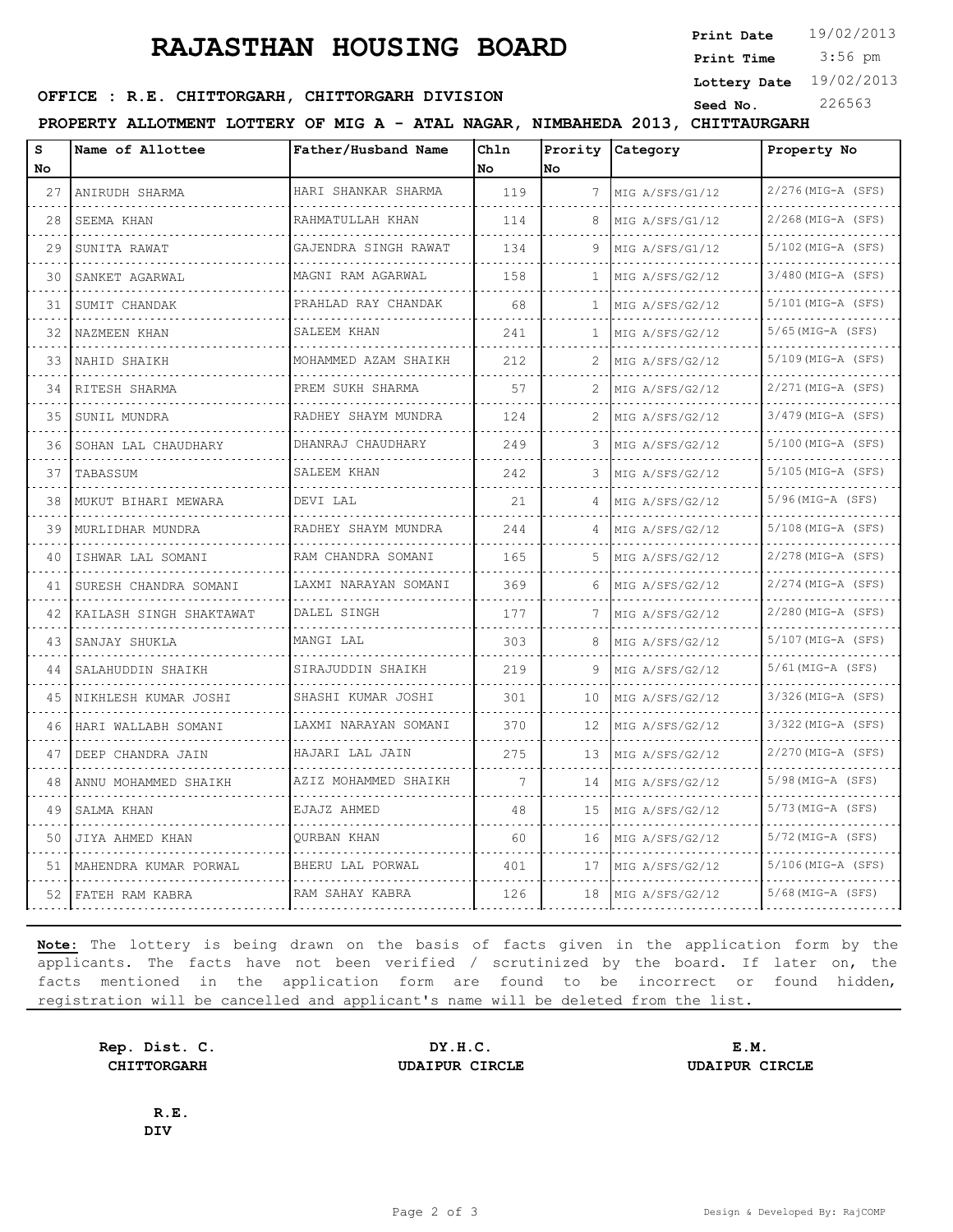# **RAJASTHAN HOUSING BOARD**

**Print Date**  $19/02/2013$ 

 3:56 pm **Print Time**

**Lottery Date** 19/02/2013

#### **SEED OFFICE : R.E. CHITTORGARH, CHITTORGARH DIVISION** Seed No. 226563

**PROPERTY ALLOTMENT LOTTERY OF MIG A - ATAL NAGAR, NIMBAHEDA 2013, CHITTAURGARH**

| S   | Name of Allottee        | Father/Husband Name       | Chln |    | Prority Category | Property No                      |
|-----|-------------------------|---------------------------|------|----|------------------|----------------------------------|
| No. |                         |                           | No.  | No |                  |                                  |
| 27  | ANIRUDH SHARMA          | HARI SHANKAR SHARMA       | 119  | 7  | MIG A/SFS/G1/12  | 2/276(MIG-A (SFS)<br>.           |
| 28  | SEEMA KHAN              | RAHMATULLAH KHAN          | 114  | 8  | MIG A/SFS/G1/12  | 2/268(MIG-A (SFS)                |
| 29  | SUNITA RAWAT            | GAJENDRA SINGH RAWAT<br>. | 134  | 9  | MIG A/SFS/G1/12  | 5/102(MIG-A (SFS)<br>.           |
| 30  | SANKET AGARWAL          | MAGNI RAM AGARWAL<br>.    | 158  | 1  | MIG A/SFS/G2/12  | 3/480 (MIG-A (SFS)<br>.          |
| 31  | SUMIT CHANDAK           | PRAHLAD RAY CHANDAK       | 68   | 1  | MIG A/SFS/G2/12  | 5/101(MIG-A (SFS)                |
| 32  | NAZMEEN KHAN            | SALEEM KHAN               | 241  | 1  | MIG A/SFS/G2/12  | $5/65$ (MIG-A (SFS)              |
| 33  | NAHID SHAIKH            | MOHAMMED AZAM SHAIKH      | 212  | 2  | MIG A/SFS/G2/12  | 5/109(MIG-A (SFS)                |
| 34  | RITESH SHARMA           | PREM SUKH SHARMA          | 57   | 2  | MIG A/SFS/G2/12  | <u>.</u><br>$2/271$ (MIG-A (SFS) |
| 35  | SUNIL MUNDRA            | RADHEY SHAYM MUNDRA       | 124  | 2  | MIG A/SFS/G2/12  | 3/479(MIG-A (SFS)                |
| 36  | SOHAN LAL CHAUDHARY     | DHANRAJ CHAUDHARY<br>.    | 249  | 3  | MIG A/SFS/G2/12  | 5/100(MIG-A (SFS)                |
| 37  | TABASSUM                | SALEEM KHAN               | 242  | 3  | MIG A/SFS/G2/12  | .<br>5/105(MIG-A (SFS)           |
| 38  | MUKUT BIHARI MEWARA     | DEVI LAL                  | 21   | 4  | MIG A/SFS/G2/12  | 5/96(MIG-A (SFS)                 |
| 39  | MURLIDHAR MUNDRA<br>.   | RADHEY SHAYM MUNDRA       | 244  | 4  | MIG A/SFS/G2/12  | 5/108(MIG-A (SFS)                |
| 40  | ISHWAR LAL SOMANI       | RAM CHANDRA SOMANI        | 165  | 5. | MIG A/SFS/G2/12  | .<br>$2/278$ (MIG-A (SFS)        |
| 41  | SURESH CHANDRA SOMANI   | LAXMI NARAYAN SOMANI      | 369  | 6  | MIG A/SFS/G2/12  | 2/274(MIG-A (SFS)                |
| 42  | KAILASH SINGH SHAKTAWAT | DALEL SINGH               | 177  | 7  | MIG A/SFS/G2/12  | 2/280(MIG-A (SFS)                |
| 43  | SANJAY SHUKLA           | MANGI LAL                 | 303  | 8  | MIG A/SFS/G2/12  | .<br>$5/107$ (MIG-A (SFS)        |
| 44  | SALAHUDDIN SHAIKH       | SIRAJUDDIN SHAIKH         | 219  | 9  | MIG A/SFS/G2/12  | 5/61 (MIG-A (SFS)                |
| 45  | NIKHLESH KUMAR JOSHI    | SHASHI KUMAR JOSHI        | 301  | 10 | MIG A/SFS/G2/12  | 3/326(MIG-A (SFS)                |
| 46  | HARI WALLABH SOMANI     | LAXMI NARAYAN SOMANI      | 370  | 12 | MIG A/SFS/G2/12  | 3/322(MIG-A (SFS)                |
| 47  | DEEP CHANDRA JAIN       | HAJARI LAL JAIN           | 275  | 13 | MIG A/SFS/G2/12  | 2/270(MIG-A (SFS)                |
| 48  | ANNU MOHAMMED SHAIKH    | AZIZ MOHAMMED SHAIKH      | 7    | 14 | MIG A/SFS/G2/12  | 5/98(MIG-A (SFS)                 |
| 49  | SALMA KHAN              | EJAJZ AHMED               | 48   | 15 | MIG A/SFS/G2/12  | 5/73(MIG-A (SFS)                 |
| 50  | JIYA AHMED KHAN         | OURBAN KHAN               | 60   | 16 | MIG A/SFS/G2/12  | 5/72 (MIG-A (SFS)                |
| 51  | MAHENDRA KUMAR PORWAL   | BHERU LAL PORWAL          | 401  | 17 | MIG A/SFS/G2/12  | 5/106(MIG-A (SFS)                |
| 52  | FATEH RAM KABRA         | RAM SAHAY KABRA           | 126  | 18 | MIG A/SFS/G2/12  | 5/68(MIG-A (SFS)                 |

**Note:** The lottery is being drawn on the basis of facts given in the application form by the applicants. The facts have not been verified / scrutinized by the board. If later on, the facts mentioned in the application form are found to be incorrect or found hidden, registration will be cancelled and applicant's name will be deleted from the list.

**Rep. Dist. C. DY.H.C. E.M. CHITTORGARH UDAIPUR CIRCLE UDAIPUR CIRCLE**

**R.E. DIV**